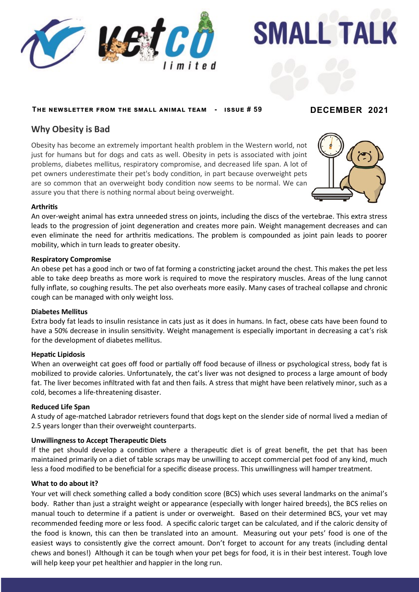



## **The newsletter from the small animal team - issue # 59 DECEMBER 2021**

# **Why Obesity is Bad**

Obesity has become an extremely important health problem in the Western world, not just for humans but for dogs and cats as well. Obesity in pets is associated with joint problems, diabetes mellitus, respiratory compromise, and decreased life span. A lot of pet owners underestimate their pet's body condition, in part because overweight pets are so common that an overweight body condition now seems to be normal. We can assure you that there is nothing normal about being overweight.



## **Arthritis**

even eliminate the need for arthritis medications. The problem is compounded as joint pain leads to poorer An over-weight animal has extra unneeded stress on joints, including the discs of the vertebrae. This extra stress leads to the progression of joint degeneration and creates more pain. Weight management decreases and can mobility, which in turn leads to greater obesity.

#### **Respiratory Compromise**

An obese pet has a good inch or two of fat forming a constricting jacket around the chest. This makes the pet less able to take deep breaths as more work is required to move the respiratory muscles. Areas of the lung cannot fully inflate, so coughing results. The pet also overheats more easily. Many cases of tracheal collapse and chronic cough can be managed with only weight loss.

#### **Diabetes Mellitus**

Extra body fat leads to insulin resistance in cats just as it does in humans. In fact, obese cats have been found to have a 50% decrease in insulin sensitivity. Weight management is especially important in decreasing a cat's risk for the development of diabetes mellitus.

#### **Hepatic Lipidosis**

When an overweight cat goes off food or partially off food because of illness or psychological stress, body fat is mobilized to provide calories. Unfortunately, the cat's liver was not designed to process a large amount of body fat. The liver becomes infiltrated with fat and then fails. A stress that might have been relatively minor, such as a cold, becomes a life-threatening disaster.

#### **Reduced Life Span**

A study of age-matched Labrador retrievers found that dogs kept on the slender side of normal lived a median of 2.5 years longer than their overweight counterparts.

## **Unwillingness to Accept Therapeutic Diets**

If the pet should develop a condition where a therapeutic diet is of great benefit, the pet that has been maintained primarily on a diet of table scraps may be unwilling to accept commercial pet food of any kind, much less a food modified to be beneficial for a specific disease process. This unwillingness will hamper treatment.

### **What to do about it?**

Your vet will check something called a body condition score (BCS) which uses several landmarks on the animal's body. Rather than just a straight weight or appearance (especially with longer haired breeds), the BCS relies on manual touch to determine if a patient is under or overweight. Based on their determined BCS, your vet may recommended feeding more or less food. A specific caloric target can be calculated, and if the caloric density of the food is known, this can then be translated into an amount. Measuring out your pets' food is one of the easiest ways to consistently give the correct amount. Don't forget to account for any treats (including dental chews and bones!) Although it can be tough when your pet begs for food, it is in their best interest. Tough love will help keep your pet healthier and happier in the long run.